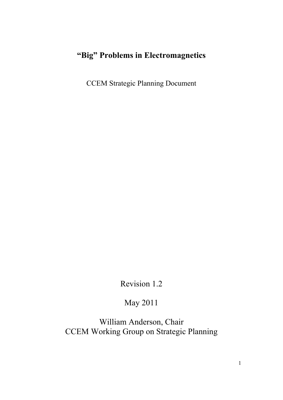# **"Big" Problems in Electromagnetics**

CCEM Strategic Planning Document

Revision 1.2

# May 2011

William Anderson, Chair CCEM Working Group on Strategic Planning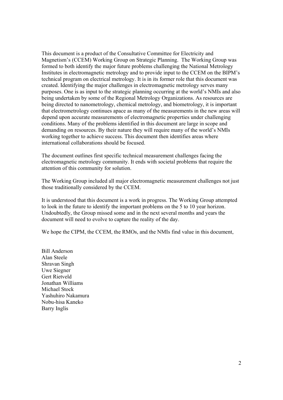This document is a product of the Consultative Committee for Electricity and Magnetism's (CCEM) Working Group on Strategic Planning. The Working Group was formed to both identify the major future problems challenging the National Metrology Institutes in electromagnetic metrology and to provide input to the CCEM on the BIPM's technical program on electrical metrology. It is in its former role that this document was created. Identifying the major challenges in electromagnetic metrology serves many purposes. One is as input to the strategic planning occurring at the world's NMIs and also being undertaken by some of the Regional Metrology Organizations. As resources are being directed to nanometrology, chemical metrology, and biometrology, it is important that electrometrology continues apace as many of the measurements in the new areas will depend upon accurate measurements of electromagnetic properties under challenging conditions. Many of the problems identified in this document are large in scope and demanding on resources. By their nature they will require many of the world's NMIs working together to achieve success. This document then identifies areas where international collaborations should be focused.

The document outlines first specific technical measurement challenges facing the electromagnetic metrology community. It ends with societal problems that require the attention of this community for solution.

The Working Group included all major electromagnetic measurement challenges not just those traditionally considered by the CCEM.

It is understood that this document is a work in progress. The Working Group attempted to look in the future to identify the important problems on the 5 to 10 year horizon. Undoubtedly, the Group missed some and in the next several months and years the document will need to evolve to capture the reality of the day.

We hope the CIPM, the CCEM, the RMOs, and the NMIs find value in this document,

Bill Anderson Alan Steele Shravan Singh Uwe Siegner Gert Rietveld Jonathan Williams Michael Stock Yashuhiro Nakamura Nobu-hisa Kaneko Barry Inglis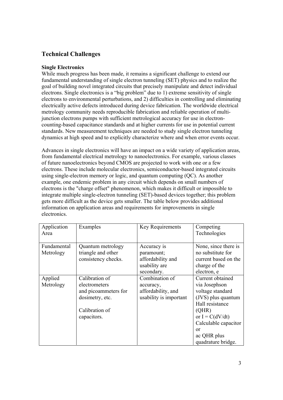# **Technical Challenges**

## **Single Electronics**

While much progress has been made, it remains a significant challenge to extend our fundamental understanding of single electron tunneling (SET) physics and to realize the goal of building novel integrated circuits that precisely manipulate and detect individual electrons. Single electronics is a "big problem" due to 1) extreme sensitivity of single electrons to environmental perturbations, and 2) difficulties in controlling and eliminating electrically active defects introduced during device fabrication. The worldwide electrical metrology community needs reproducible fabrication and reliable operation of multijunction electrons pumps with sufficient metrological accuracy for use in electroncounting-based capacitance standards and at higher currents for use in potential current standards. New measurement techniques are needed to study single electron tunneling dynamics at high speed and to explicitly characterize where and when error events occur.

Advances in single electronics will have an impact on a wide variety of application areas, from fundamental electrical metrology to nanoelectronics. For example, various classes of future nanoelectronics beyond CMOS are projected to work with one or a few electrons. These include molecular electronics, semiconductor-based integrated circuits using single-electron memory or logic, and quantum computing (QC). As another example, one endemic problem in any circuit which depends on small numbers of electrons is the "charge offset" phenomenon, which makes it difficult or impossible to integrate multiple single-electron tunneling (SET)-based devices together; this problem gets more difficult as the device gets smaller. The table below provides additional information on application areas and requirements for improvements in single electronics.

| Application<br>Area      | Examples                                                                                                    | Key Requirements                                                              | Competing<br>Technologies                                                                                                                                                                               |
|--------------------------|-------------------------------------------------------------------------------------------------------------|-------------------------------------------------------------------------------|---------------------------------------------------------------------------------------------------------------------------------------------------------------------------------------------------------|
| Fundamental<br>Metrology | Quantum metrology<br>triangle and other<br>consistency checks.                                              | Accuracy is<br>paramount;<br>affordability and<br>usability are<br>secondary. | None, since there is<br>no substitute for<br>current based on the<br>charge of the<br>electron, e                                                                                                       |
| Applied<br>Metrology     | Calibration of<br>electrometers<br>and picoammeters for<br>dosimetry, etc.<br>Calibration of<br>capacitors. | Combination of<br>accuracy,<br>affordability, and<br>usability is important   | Current obtained<br>via Josephson<br>voltage standard<br>(JVS) plus quantum<br>Hall resistance<br>(QHR)<br>or $I = C(dV/dt)$<br>Calculable capacitor<br>$\alpha$ r<br>ac QHR plus<br>quadrature bridge. |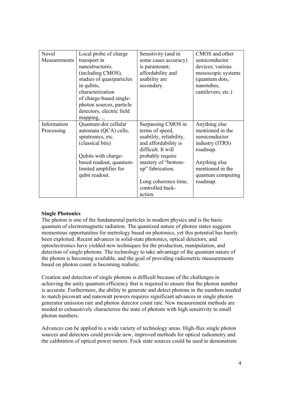| Novel        | Local probe of charge     | Sensitivity (and in     | CMOS and other     |
|--------------|---------------------------|-------------------------|--------------------|
| Measurements | transport in              | some cases accuracy)    | semiconductor      |
|              | nanostructures.           | is paramount;           | devices; various   |
|              | (including CMOS),         | affordability and       | mesoscopic systems |
|              | studies of quasiparticles | usability are           | (quantum dots,     |
|              | in qubits,                | secondary.              | nanotubes,         |
|              | characterization          |                         | cantilevers, etc.) |
|              | of charge-based single-   |                         |                    |
|              | photon sources, particle  |                         |                    |
|              | detectors, electric field |                         |                    |
|              | mapping,                  |                         |                    |
| Information  | Quantum-dot cellular      | Surpassing CMOS in      | Anything else      |
| Processing   | automata (QCA) cells,     | terms of speed,         | mentioned in the   |
|              | spintronics, etc.         | usability, reliability, | semiconductor      |
|              | (classical bits)          | and affordability is    | industry (ITRS)    |
|              |                           | difficult. It will      | roadmap.           |
|              | Qubits with charge-       | probably require        |                    |
|              | based readout, quantum-   | mastery of "bottom-     | Anything else      |
|              | limited amplifier for     | up" fabrication.        | mentioned in the   |
|              | qubit readout.            |                         | quantum computing  |
|              |                           | Long coherence time,    | roadmap.           |
|              |                           | controlled back-        |                    |
|              |                           | action.                 |                    |

## **Single Photonics**

The photon is one of the fundamental particles in modern physics and is the basic quantum of electromagnetic radiation. The quantized nature of photon states suggests momentous opportunities for metrology based on photonics, yet this potential has barely been exploited. Recent advances in solid-state photonics, optical detectors, and optoelectronics have yielded new techniques for the production, manipulation, and detection of single photons. The technology to take advantage of the quantum nature of the photon is becoming available, and the goal of providing radiometric measurements based on photon count is becoming realistic.

Creation and detection of single photons is difficult because of the challenges in achieving the unity quantum efficiency that is required to ensure that the photon number is accurate. Furthermore, the ability to generate and detect photons in the numbers needed to match picowatt and nanowatt powers requires significant advances in single photon generator emission rate and photon detector count rate. New measurement methods are needed to exhaustively characterize the state of photons with high sensitivity to small photon numbers.

Advances can be applied to a wide variety of technology areas. High-flux single photon sources and detectors could provide new, improved methods for optical radiometry and the calibration of optical power meters. Fock state sources could be used to demonstrate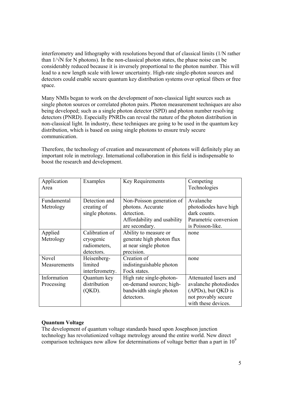interferometry and lithography with resolutions beyond that of classical limits (1/N rather than  $1/\sqrt{N}$  for N photons). In the non-classical photon states, the phase noise can be considerably reduced because it is inversely proportional to the photon number. This will lead to a new length scale with lower uncertainty. High-rate single-photon sources and detectors could enable secure quantum key distribution systems over optical fibers or free space.

Many NMIs began to work on the development of non-classical light sources such as single photon sources or correlated photon pairs. Photon measurement techniques are also being developed; such as a single photon detector (SPD) and photon number resolving detectors (PNRD). Especially PNRDs can reveal the nature of the photon distribution in non-classical light. In industry, these techniques are going to be used in the quantum key distribution, which is based on using single photons to ensure truly secure communication.

Therefore, the technology of creation and measurement of photons will definitely play an important role in metrology. International collaboration in this field is indispensable to boost the research and development.

| Application<br>Area       | Examples                                                  | Key Requirements                                                                                              | Competing<br>Technologies                                                                                          |
|---------------------------|-----------------------------------------------------------|---------------------------------------------------------------------------------------------------------------|--------------------------------------------------------------------------------------------------------------------|
| Fundamental<br>Metrology  | Detection and<br>creating of<br>single photons.           | Non-Poisson generation of<br>photons. Accurate<br>detection.<br>Affordability and usability<br>are secondary. | Avalanche<br>photodiodes have high<br>dark counts.<br>Parametric conversion<br>is Poisson-like.                    |
| Applied<br>Metrology      | Calibration of<br>cryogenic<br>radiometers,<br>detectors. | Ability to measure or<br>generate high photon flux<br>at near single photon<br>precision.                     | none                                                                                                               |
| Novel<br>Measurements     | Heisenberg-<br>limited<br>interferometry.                 | Creation of<br>indistinguishable photon<br>Fock states.                                                       | none                                                                                                               |
| Information<br>Processing | Quantum key<br>distribution<br>(QKD).                     | High rate single-photon-<br>on-demand sources; high-<br>bandwidth single photon<br>detectors.                 | Attenuated lasers and<br>avalanche photodiodes<br>(APDs), but QKD is<br>not provably secure<br>with these devices. |

## **Quantum Voltage**

The development of quantum voltage standards based upon Josephson junction technology has revolutionized voltage metrology around the entire world. New direct comparison techniques now allow for determinations of voltage better than a part in  $10<sup>9</sup>$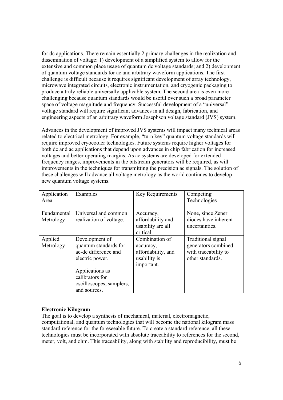for dc applications. There remain essentially 2 primary challenges in the realization and dissemination of voltage: 1) development of a simplified system to allow for the extensive and common place usage of quantum dc voltage standards; and 2) development of quantum voltage standards for ac and arbitrary waveform applications. The first challenge is difficult because it requires significant development of array technology, microwave integrated circuits, electronic instrumentation, and cryogenic packaging to produce a truly reliable universally applicable system. The second area is even more challenging because quantum standards would be useful over such a broad parameter space of voltage magnitude and frequency. Successful development of a "universal" voltage standard will require significant advances in all design, fabrication, and engineering aspects of an arbitrary waveform Josephson voltage standard (JVS) system.

Advances in the development of improved JVS systems will impact many technical areas related to electrical metrology. For example, "turn key" quantum voltage standards will require improved cryocooler technologies. Future systems require higher voltages for both dc and ac applications that depend upon advances in chip fabrication for increased voltages and better operating margins. As ac systems are developed for extended frequency ranges, improvements in the bitstream generators will be required, as will improvements in the techniques for transmitting the precision ac signals. The solution of these challenges will advance all voltage metrology as the world continues to develop new quantum voltage systems.

| Application<br>Area      | Examples                                                                                                                                                             | Key Requirements                                                                | Competing<br>Technologies                                                             |
|--------------------------|----------------------------------------------------------------------------------------------------------------------------------------------------------------------|---------------------------------------------------------------------------------|---------------------------------------------------------------------------------------|
| Fundamental<br>Metrology | Universal and common<br>realization of voltage.                                                                                                                      | Accuracy,<br>affordability and<br>usability are all<br>critical.                | None, since Zener<br>diodes have inherent<br>uncertainties.                           |
| Applied<br>Metrology     | Development of<br>quantum standards for<br>ac-dc difference and<br>electric power.<br>Applications as<br>calibrators for<br>oscilloscopes, samplers,<br>and sources. | Combination of<br>accuracy,<br>affordability, and<br>usability is<br>important. | Traditional signal<br>generators combined<br>with traceability to<br>other standards. |

## **Electronic Kilogram**

The goal is to develop a synthesis of mechanical, material, electromagnetic, computational, and quantum technologies that will become the national kilogram mass standard reference for the foreseeable future. To create a standard reference, all these technologies must be incorporated with absolute traceability to references for the second, meter, volt, and ohm. This traceability, along with stability and reproducibility, must be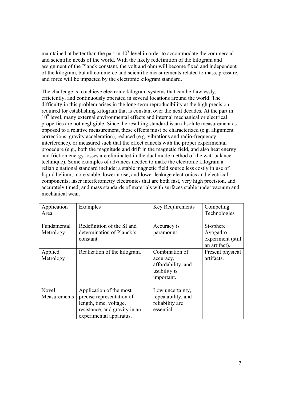maintained at better than the part in  $10<sup>8</sup>$  level in order to accommodate the commercial and scientific needs of the world. With the likely redefinition of the kilogram and assignment of the Planck constant, the volt and ohm will become fixed and independent of the kilogram, but all commerce and scientific measurements related to mass, pressure, and force will be impacted by the electronic kilogram standard.

The challenge is to achieve electronic kilogram systems that can be flawlessly, efficiently, and continuously operated in several locations around the world. The difficulty in this problem arises in the long-term reproducibility at the high precision required for establishing kilogram that is constant over the next decades. At the part in 10<sup>8</sup> level, many external environmental effects and internal mechanical or electrical properties are not negligible. Since the resulting standard is an absolute measurement as opposed to a relative measurement, these effects must be characterized (e.g. alignment corrections, gravity acceleration), reduced (e.g. vibrations and radio-frequency interference), or measured such that the effect cancels with the proper experimental procedure (e.g., both the magnitude and drift in the magnetic field, and also heat energy and friction energy losses are eliminated in the dual mode method of the watt balance technique). Some examples of advances needed to make the electronic kilogram a reliable national standard include: a stable magnetic field source less costly in use of liquid helium; more stable, lower noise, and lower leakage electronics and electrical components; laser interferometry electronics that are both fast, very high precision, and accurately timed; and mass standards of materials with surfaces stable under vacuum and mechanical wear.

| Application<br>Area      | Examples                                                                                                                                   | Key Requirements                                                                | Competing<br>Technologies                                    |
|--------------------------|--------------------------------------------------------------------------------------------------------------------------------------------|---------------------------------------------------------------------------------|--------------------------------------------------------------|
| Fundamental<br>Metrology | Redefinition of the SI and<br>determination of Planck's<br>constant.                                                                       | Accuracy is<br>paramount.                                                       | Si-sphere<br>Avogadro<br>experiment (still)<br>an artifact). |
| Applied<br>Metrology     | Realization of the kilogram.                                                                                                               | Combination of<br>accuracy,<br>affordability, and<br>usability is<br>important. | Present physical<br>artifacts.                               |
| Novel<br>Measurements    | Application of the most<br>precise representation of<br>length, time, voltage,<br>resistance, and gravity in an<br>experimental apparatus. | Low uncertainty,<br>repeatability, and<br>reliability are<br>essential.         |                                                              |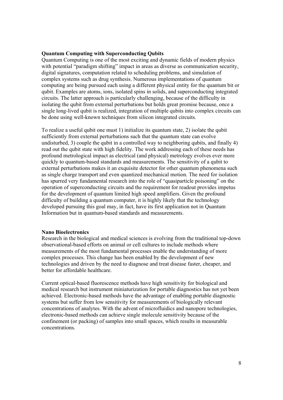#### **Quantum Computing with Superconducting Qubits**

Quantum Computing is one of the most exciting and dynamic fields of modern physics with potential "paradigm shifting" impact in areas as diverse as communication security, digital signatures, computation related to scheduling problems, and simulation of complex systems such as drug synthesis. Numerous implementations of quantum computing are being pursued each using a different physical entity for the quantum bit or qubit. Examples are atoms, ions, isolated spins in solids, and superconducting integrated circuits. The latter approach is particularly challenging, because of the difficulty in isolating the qubit from external perturbations but holds great promise because, once a single long-lived qubit is realized, integration of multiple qubits into complex circuits can be done using well-known techniques from silicon integrated circuits.

To realize a useful qubit one must 1) initialize its quantum state, 2) isolate the qubit sufficiently from external perturbations such that the quantum state can evolve undisturbed, 3) couple the qubit in a controlled way to neighboring qubits, and finally 4) read out the qubit state with high fidelity. The work addressing each of these needs has profound metrological impact as electrical (and physical) metrology evolves ever more quickly to quantum-based standards and measurements. The sensitivity of a qubit to external perturbations makes it an exquisite detector for other quantum phenomena such as single charge transport and even quantized mechanical motion. The need for isolation has spurred very fundamental research into the role of "quasiparticle poisoning" on the operation of superconducting circuits and the requirement for readout provides impetus for the development of quantum limited high speed amplifiers. Given the profound difficulty of building a quantum computer, it is highly likely that the technology developed pursuing this goal may, in fact, have its first application not in Quantum Information but in quantum-based standards and measurements.

#### **Nano Bioelectronics**

Research in the biological and medical sciences is evolving from the traditional top-down observational-based efforts on animal or cell cultures to include methods where measurements of the most fundamental processes enable the understanding of more complex processes. This change has been enabled by the development of new technologies and driven by the need to diagnose and treat disease faster, cheaper, and better for affordable healthcare.

Current optical-based fluorescence methods have high sensitivity for biological and medical research but instrument miniaturization for portable diagnostics has not yet been achieved. Electronic-based methods have the advantage of enabling portable diagnostic systems but suffer from low sensitivity for measurements of biologically relevant concentrations of analytes. With the advent of microfluidics and nanopore technologies, electronic-based methods can achieve single molecule sensitivity because of the confinement (or packing) of samples into small spaces, which results in measurable concentrations.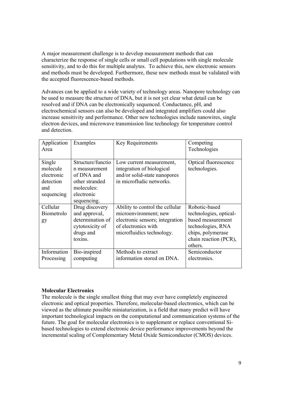A major measurement challenge is to develop measurement methods that can characterize the response of single cells or small cell populations with single molecule sensitivity, and to do this for multiple analytes. To achieve this, new electronic sensors and methods must be developed. Furthermore, these new methods must be validated with the accepted fluorescence-based methods.

Advances can be applied to a wide variety of technology areas. Nanopore technology can be used to measure the structure of DNA, but it is not yet clear what detail can be resolved and if DNA can be electronically sequenced. Conductance, pH, and electrochemical sensors can also be developed and integrated amplifiers could also increase sensitivity and performance. Other new technologies include nanowires, single electron devices, and microwave transmission line technology for temperature control and detection.

| Application<br>Area                                                | Examples                                                                                                      | Key Requirements                                                                                                  | Competing<br>Technologies             |
|--------------------------------------------------------------------|---------------------------------------------------------------------------------------------------------------|-------------------------------------------------------------------------------------------------------------------|---------------------------------------|
| Single<br>molecule<br>electronic<br>detection<br>and<br>sequencing | Structure/functio<br>n measurement<br>of DNA and<br>other stranded<br>molecules:<br>electronic<br>sequencing. | Low current measurement,<br>integration of biological<br>and/or solid-state nanopores<br>in microfludic networks. | Optical fluorescence<br>technologies. |
| Cellular                                                           | Drug discovery                                                                                                | Ability to control the cellular                                                                                   | Robotic-based                         |
| Biometrolo                                                         | and approval,                                                                                                 | microenvironment; new                                                                                             | technologies, optical-                |
| gy                                                                 | determination of                                                                                              | electronic sensors; integration                                                                                   | based measurement                     |
|                                                                    | cytotoxicity of                                                                                               | of electronics with                                                                                               | technologies, RNA                     |
|                                                                    | drugs and                                                                                                     | microfluidics technology.                                                                                         | chips, polymerase                     |
|                                                                    | toxins.                                                                                                       |                                                                                                                   | chain reaction (PCR),                 |
|                                                                    |                                                                                                               |                                                                                                                   | others.                               |
| Information                                                        | Bio-inspired                                                                                                  | Methods to extract                                                                                                | Semiconductor                         |
| Processing                                                         | computing                                                                                                     | information stored on DNA.                                                                                        | electronics.                          |
|                                                                    |                                                                                                               |                                                                                                                   |                                       |

## **Molecular Electronics**

The molecule is the single smallest thing that may ever have completely engineered electronic and optical properties. Therefore, molecular-based electronics, which can be viewed as the ultimate possible miniaturization, is a field that many predict will have important technological impacts on the computational and communication systems of the future. The goal for molecular electronics is to supplement or replace conventional Sibased technologies to extend electronic device performance improvements beyond the incremental scaling of Complementary Metal Oxide Semiconductor (CMOS) devices.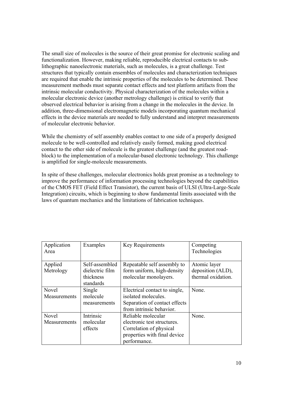The small size of molecules is the source of their great promise for electronic scaling and functionalization. However, making reliable, reproducible electrical contacts to sublithographic nanoelectronic materials, such as molecules, is a great challenge. Test structures that typically contain ensembles of molecules and characterization techniques are required that enable the intrinsic properties of the molecules to be determined. These measurement methods must separate contact effects and test platform artifacts from the intrinsic molecular conductivity. Physical characterization of the molecules within a molecular electronic device (another metrology challenge) is critical to verify that observed electrical behavior is arising from a change in the molecules in the device. In addition, three-dimensional electromagnetic models incorporating quantum mechanical effects in the device materials are needed to fully understand and interpret measurements of molecular electronic behavior.

While the chemistry of self assembly enables contact to one side of a properly designed molecule to be well-controlled and relatively easily formed, making good electrical contact to the other side of molecule is the greatest challenge (and the greatest roadblock) to the implementation of a molecular-based electronic technology. This challenge is amplified for single-molecule measurements.

In spite of these challenges, molecular electronics holds great promise as a technology to improve the performance of information processing technologies beyond the capabilities of the CMOS FET (Field Effect Transistor), the current basis of ULSI (Ultra-Large-Scale Integration) circuits, which is beginning to show fundamental limits associated with the laws of quantum mechanics and the limitations of fabrication techniques.

| Application<br>Area | Examples        | <b>Key Requirements</b>       | Competing<br>Technologies |
|---------------------|-----------------|-------------------------------|---------------------------|
| Applied             | Self-assembled  | Repeatable self assembly to   | Atomic layer              |
| Metrology           | dielectric film | form uniform, high-density    | deposition (ALD),         |
|                     | thickness       | molecular monolayers.         | thermal oxidation.        |
|                     | standards       |                               |                           |
| Novel               | Single          | Electrical contact to single, | None.                     |
| Measurements        | molecule        | isolated molecules.           |                           |
|                     | measurements    | Separation of contact effects |                           |
|                     |                 | from intrinsic behavior.      |                           |
| <b>Novel</b>        | Intrinsic       | Reliable molecular            | None.                     |
| Measurements        | molecular       | electronic test structures.   |                           |
|                     | effects         | Correlation of physical       |                           |
|                     |                 | properties with final device  |                           |
|                     |                 | performance.                  |                           |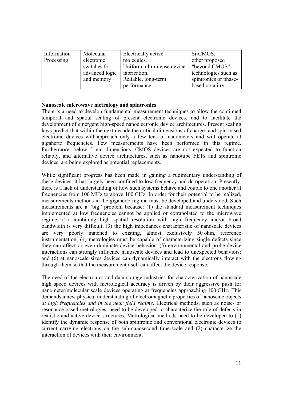| Information | Molecular      | Electrically active         | Si-CMOS,              |
|-------------|----------------|-----------------------------|-----------------------|
| Processing  | electronic     | molecules.                  | other proposed        |
|             | switches for   | Uniform, ultra-dense device | "beyond CMOS"         |
|             | advanced logic | fabrication.                | technologies such as  |
|             | and memory     | Reliable, long-term         | spintronics or phase- |
|             |                | performance.                | based circuitry.      |

#### **Nanoscale microwave metrology and spintronics**

There is a need to develop fundamental measurement techniques to allow the continued temporal and spatial scaling of present electronic devices, and to facilitate the development of emergent high-speed nanoelectronic device architectures. Present scaling laws predict that within the next decade the critical dimensions of charge- and spin-based electronic devices will approach only a few tens of nanometers and will operate at gigahertz frequencies. Few measurements have been performed in this regime. Furthermore, below 5 nm dimensions, CMOS devices are not expected to function reliably, and alternative device architectures, such as nanotube FETs and spintronic devices, are being explored as potential replacements.

While significant progress has been made in gaining a rudimentary understanding of these devices, it has largely been confined to low-frequency and dc operation. Presently, there is a lack of understanding of how such systems behave and couple to one another at frequencies from 100 MHz to above 100 GHz. In order for their potential to be realized, measurements methods in the gigahertz regime must be developed and understood. Such measurements are a "big" problem because: (1) the standard measurement techniques implemented at low frequencies cannot be applied or extrapolated to the microwave regime; (2) combining high spatial resolution with high frequency and/or broad bandwidth is very difficult; (3) the high impedances characteristic of nanoscale devices are very poorly matched to existing, almost exclusively 50 ohm, reference instrumentation; (4) metrologies must be capable of characterizing single defects since they can affect or even dominate device behavior; (5) environmental and probe-device interactions can strongly influence nanoscale devices and lead to unexpected behaviors; and (6) at nanoscale sizes devices can dynamically interact with the electrons flowing through them so that the measurement itself can affect the device response.

The need of the electronics and data storage industries for characterization of nanoscale high speed devices with metrological accuracy is driven by their aggressive push for nanometer/molecular scale devices operating at frequencies approaching 100 GHz. This demands a new physical understanding of electromagnetic properties of nanoscale objects *at high frequencies and in the near field regime*. Electrical methods, such as noise- or resonance-based metrologies, need to be developed to characterize the role of defects in realistic and active device structures. Metrological methods need to be developed to (1) identify the dynamic response of both spintronic and conventional electronic devices to current carrying electrons on the sub-nanosecond time-scale and (2) characterize the interaction of devices with their environment.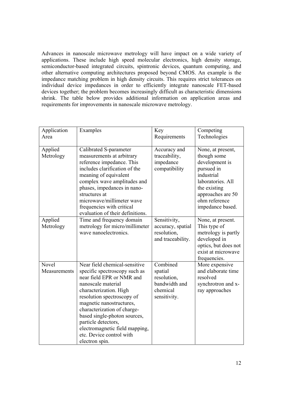Advances in nanoscale microwave metrology will have impact on a wide variety of applications. These include high speed molecular electronics, high density storage, semiconductor-based integrated circuits, spintronic devices, quantum computing, and other alternative computing architectures proposed beyond CMOS. An example is the impedance matching problem in high density circuits. This requires strict tolerances on individual device impedances in order to efficiently integrate nanoscale FET-based devices together; the problem becomes increasingly difficult as characteristic dimensions shrink. The table below provides additional information on application areas and requirements for improvements in nanoscale microwave metrology.

| Application           | Examples                                                                                                                                                                                                                                                                                                                                                                    | Key                                                                             | Competing                                                                                                                                                                     |
|-----------------------|-----------------------------------------------------------------------------------------------------------------------------------------------------------------------------------------------------------------------------------------------------------------------------------------------------------------------------------------------------------------------------|---------------------------------------------------------------------------------|-------------------------------------------------------------------------------------------------------------------------------------------------------------------------------|
| Area                  |                                                                                                                                                                                                                                                                                                                                                                             | Requirements                                                                    | Technologies                                                                                                                                                                  |
| Applied<br>Metrology  | Calibrated S-parameter<br>measurements at arbitrary<br>reference impedance. This<br>includes clarification of the<br>meaning of equivalent<br>complex wave amplitudes and<br>phases, impedances in nano-<br>structures at<br>microwave/millimeter wave<br>frequencies with critical<br>evaluation of their definitions.                                                     | Accuracy and<br>traceability,<br>impedance<br>compatibility                     | None, at present,<br>though some<br>development is<br>pursued in<br>industrial<br>laboratories. All<br>the existing<br>approaches are 50<br>ohm reference<br>impedance based. |
| Applied<br>Metrology  | Time and frequency domain<br>metrology for micro/millimeter<br>wave nanoelectronics.                                                                                                                                                                                                                                                                                        | Sensitivity,<br>accuracy, spatial<br>resolution,<br>and traceability.           | None, at present.<br>This type of<br>metrology is partly<br>developed in<br>optics, but does not<br>exist at microwave<br>frequencies.                                        |
| Novel<br>Measurements | Near field chemical-sensitive<br>specific spectroscopy such as<br>near field EPR or NMR and<br>nanoscale material<br>characterization. High<br>resolution spectroscopy of<br>magnetic nanostructures,<br>characterization of charge-<br>based single-photon sources,<br>particle detectors,<br>electromagnetic field mapping,<br>etc. Device control with<br>electron spin. | Combined<br>spatial<br>resolution,<br>bandwidth and<br>chemical<br>sensitivity. | More expensive<br>and elaborate time<br>resolved<br>synchrotron and x-<br>ray approaches                                                                                      |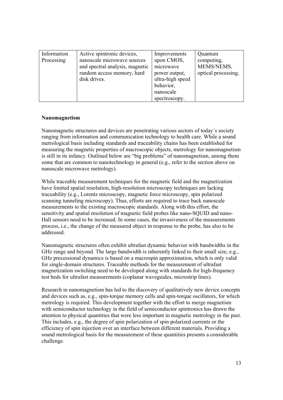| Information | Active spintronic devices,      | Improvements     | Quantum             |
|-------------|---------------------------------|------------------|---------------------|
| Processing  | nanoscale microwave sources     | upon CMOS,       | computing,          |
|             | and spectral analysis, magnetic | microwave        | MEMS/NEMS,          |
|             | random access memory, hard      | power output,    | optical processing. |
|             | disk drives.                    | ultra-high speed |                     |
|             |                                 | behavior,        |                     |
|             |                                 | nanoscale        |                     |
|             |                                 | spectroscopy.    |                     |

## **Nanomagnetism**

Nanomagnetic structures and devices are penetrating various sectors of today´s society ranging from information and communication technology to health care. While a sound metrological basis including standards and traceability chains has been established for measuring the magnetic properties of macroscopic objects, metrology for nanomagnetism is still in its infancy. Outlined below are "big problems" of nanomagnetism, among them some that are common to nanotechnology in general (e.g., refer to the section above on nanoscale microwave metrology).

While traceable measurement techniques for the magnetic field and the magnetization have limited spatial resolution, high-resolution microscopy techniques are lacking traceability (e.g., Lorentz microscopy, magnetic force microscopy, spin polarized scanning tunneling microscopy). Thus, efforts are required to trace back nanoscale measurements to the existing macroscopic standards. Along with this effort, the sensitivity and spatial resolution of magnetic field probes like nano-SQUID and nano-Hall sensors need to be increased. In some cases, the invasiveness of the measurements process, i.e., the change of the measured object in response to the probe, has also to be addressed.

Nanomagnetic structures often exhibit ultrafast dynamic behavior with bandwidths in the GHz range and beyond. The large bandwidth is inherently linked to their small size, e.g., GHz precessional dynamics is based on a macrospin approximation, which is only valid for single-domain structures. Traceable methods for the measurement of ultrafast magnetization switching need to be developed along with standards for high-frequency test beds for ultrafast measurements (coplanar waveguides, microstrip lines).

Research in nanomagnetism has led to the discovery of qualitatively new device concepts and devices such as, e.g., spin-torque memory cells and spin-torque oscillators, for which metrology is required. This development together with the effort to merge magnetism with semiconductor technology in the field of semiconductor spintronics has drawn the attention to physical quantities that were less important in magnetic metrology in the past. This includes, e.g., the degree of spin polarization of spin polarized currents or the efficiency of spin injection over an interface between different materials. Providing a sound metrological basis for the measurement of these quantities presents a considerable challenge.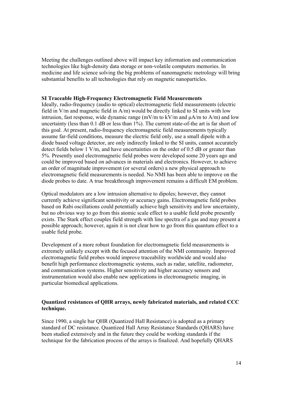Meeting the challenges outlined above will impact key information and communication technologies like high-density data storage or non-volatile computers memories. In medicine and life science solving the big problems of nanomagnetic metrology will bring substantial benefits to all technologies that rely on magnetic nanoparticles.

#### **SI Traceable High-Frequency Electromagnetic Field Measurements**

Ideally, radio-frequency (audio to optical) electromagnetic field measurements (electric field in V/m and magnetic field in A/m) would be directly linked to SI units with low intrusion, fast response, wide dynamic range (mV/m to kV/m and  $\mu A/m$  to A/m) and low uncertainty (less than 0.1 dB or less than 1%). The current state-of-the art is far short of this goal. At present, radio-frequency electromagnetic field measurements typically assume far-field conditions, measure the electric field only, use a small dipole with a diode based voltage detector, are only indirectly linked to the SI units, cannot accurately detect fields below 1 V/m, and have uncertainties on the order of 0.5 dB or greater than 5%. Presently used electromagnetic field probes were developed some 20 years ago and could be improved based on advances in materials and electronics. However, to achieve an order of magnitude improvement (or several orders) a new physical approach to electromagnetic field measurements is needed. No NMI has been able to improve on the diode probes to date. A true breakthrough improvement remains a difficult EM problem.

Optical modulators are a low intrusion alternative to dipoles; however, they cannot currently achieve significant sensitivity or accuracy gains. Electromagnetic field probes based on Rabi oscillations could potentially achieve high sensitivity and low uncertainty, but no obvious way to go from this atomic scale effect to a usable field probe presently exists. The Stark effect couples field strength with line spectra of a gas and may present a possible approach; however, again it is not clear how to go from this quantum effect to a usable field probe.

Development of a more robust foundation for electromagnetic field measurements is extremely unlikely except with the focused attention of the NMI community. Improved electromagnetic field probes would improve traceability worldwide and would also benefit high performance electromagnetic systems, such as radar, satellite, radiometer, and communication systems. Higher sensitivity and higher accuracy sensors and instrumentation would also enable new applications in electromagnetic imaging, in particular biomedical applications.

## **Quantized resistances of QHR arrays, newly fabricated materials, and related CCC technique.**

Since 1990, a single bar QHR (Quantized Hall Resistance) is adopted as a primary standard of DC resistance. Quantized Hall Array Resistance Standards (QHARS) have been studied extensively and in the future they could be working standards if the technique for the fabrication process of the arrays is finalized. And hopefully QHARS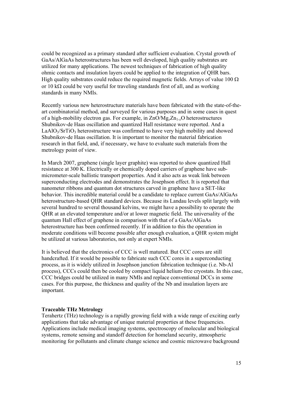could be recognized as a primary standard after sufficient evaluation. Crystal growth of GaAs/AlGaAs heterostructures has been well developed, high quality substrates are utilized for many applications. The newest techniques of fabrication of high quality ohmic contacts and insulation layers could be applied to the integration of QHR bars. High quality substrates could reduce the required magnetic fields. Arrays of value 100  $\Omega$ or 10 k $\Omega$  could be very useful for traveling standards first of all, and as working standards in many NMIs.

Recently various new heterostructure materials have been fabricated with the state-of-theart combinatorial method, and surveyed for various purposes and in some cases in quest of a high-mobility electron gas. For example, in ZnO/Mg*x*Zn1-*x*O heterostructures Shubnikov-de Haas oscillation and quantized Hall resistance were reported. And a  $LaAlO<sub>3</sub>/SrTiO<sub>3</sub> heterostructure was confirmed to have very high mobility and showed$ Shubnikov-de Haas oscillation. It is important to monitor the material fabrication research in that field, and, if necessary, we have to evaluate such materials from the metrology point of view.

In March 2007, graphene (single layer graphite) was reported to show quantized Hall resistance at 300 K. Electrically or chemically doped carriers of graphene have submicrometer-scale ballistic transport properties. And it also acts as weak link between superconducting electrodes and demonstrates the Josephson effect. It is reported that nanometer ribbons and quantum dot structures carved in graphene have a SET-like behavior. This incredible material could be a candidate to replace current GaAs/AlGaAs heterostructure-based QHR standard devices. Because its Landau levels split largely with several hundred to several thousand kelvins, we might have a possibility to operate the QHR at an elevated temperature and/or at lower magnetic field. The universality of the quantum Hall effect of graphene in comparison with that of a GaAs/AlGaAs heterostructure has been confirmed recently. If in addition to this the operation in moderate conditions will become possible after enough evaluation, a QHR system might be utilized at various laboratories, not only at expert NMIs.

It is believed that the electronics of CCC is well matured. But CCC cores are still handcrafted. If it would be possible to fabricate such CCC cores in a superconducting process, as it is widely utilized in Josephson junction fabrication technique (i.e. Nb-Al process), CCCs could then be cooled by compact liquid helium-free cryostats. In this case, CCC bridges could be utilized in many NMIs and replace conventional DCCs in some cases. For this purpose, the thickness and quality of the Nb and insulation layers are important.

#### **Traceable THz Metrology**

Terahertz (THz) technology is a rapidly growing field with a wide range of exciting early applications that take advantage of unique material properties at these frequencies. Applications include medical imaging systems, spectroscopy of molecular and biological systems, remote sensing and standoff detection for homeland security, atmospheric monitoring for pollutants and climate change science and cosmic microwave background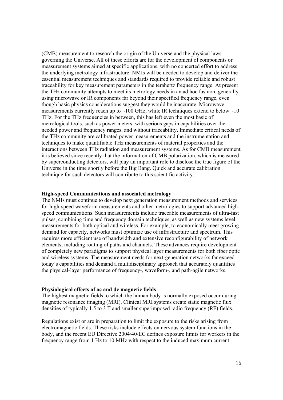(CMB) measurement to research the origin of the Universe and the physical laws governing the Universe. All of these efforts are for the development of components or measurement systems aimed at specific applications, with no concerted effort to address the underlying metrology infrastructure. NMIs will be needed to develop and deliver the essential measurement techniques and standards required to provide reliable and robust traceability for key measurement parameters in the terahertz frequency range. At present the THz community attempts to meet its metrology needs in an ad hoc fashion, generally using microwave or IR components far beyond their specified frequency range, even though basic physics considerations suggest they would be inaccurate. Microwave measurements currently reach up to  $\sim$ 100 GHz, while IR techniques extend to below  $\sim$ 10 THz. For the THz frequencies in between, this has left even the most basic of metrological tools, such as power meters, with serious gaps in capabilities over the needed power and frequency ranges, and without traceability. Immediate critical needs of the THz community are calibrated power measurements and the instrumentation and techniques to make quantifiable THz measurements of material properties and the interactions between THz radiation and measurement systems. As for CMB measurement it is believed since recently that the information of CMB polarization, which is measured by superconducting detectors, will play an important role to disclose the true figure of the Universe in the time shortly before the Big Bang. Quick and accurate calibration technique for such detectors will contribute to this scientific activity.

#### **High-speed Communications and associated metrology**

The NMIs must continue to develop next generation measurement methods and services for high-speed waveform measurements and other metrologies to support advanced highspeed communications. Such measurements include traceable measurements of ultra-fast pulses, combining time and frequency domain techniques, as well as new systems level measurements for both optical and wireless. For example, to economically meet growing demand for capacity, networks must optimize use of infrastructure and spectrum. This requires more efficient use of bandwidth and extensive reconfigurability of network elements, including routing of paths and channels. These advances require development of completely new paradigms to support physical layer measurements for both fiber optic and wireless systems. The measurement needs for next-generation networks far exceed today's capabilities and demand a multidisciplinary approach that accurately quantifies the physical-layer performance of frequency-, waveform-, and path-agile networks.

#### **Physiological effects of ac and dc magnetic fields**

The highest magnetic fields to which the human body is normally exposed occur during magnetic resonance imaging (MRI). Clinical MRI systems create static magnetic flux densities of typically 1.5 to 3 T and smaller superimposed radio frequency (RF) fields.

Regulations exist or are in preparation to limit the exposure to the risks arising from electromagnetic fields. These risks include effects on nervous system functions in the body, and the recent EU Directive 2004/40/EC defines exposure limits for workers in the frequency range from 1 Hz to 10 MHz with respect to the induced maximum current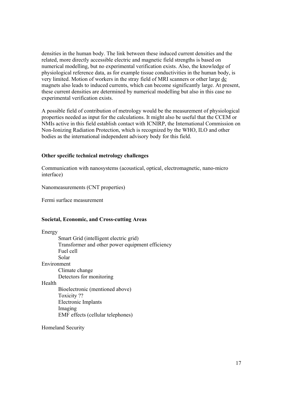densities in the human body. The link between these induced current densities and the related, more directly accessible electric and magnetic field strengths is based on numerical modelling, but no experimental verification exists. Also, the knowledge of physiological reference data, as for example tissue conductivities in the human body, is very limited. Motion of workers in the stray field of MRI scanners or other large dc magnets also leads to induced currents, which can become significantly large. At present, these current densities are determined by numerical modelling but also in this case no experimental verification exists.

A possible field of contribution of metrology would be the measurement of physiological properties needed as input for the calculations. It might also be useful that the CCEM or NMIs active in this field establish contact with ICNIRP, the International Commission on Non-Ionizing Radiation Protection, which is recognized by the WHO, ILO and other bodies as the international independent advisory body for this field.

#### **Other specific technical metrology challenges**

Communication with nanosystems (acoustical, optical, electromagnetic, nano-micro interface)

Nanomeasurements (CNT properties)

Fermi surface measurement

#### **Societal, Economic, and Cross-cutting Areas**

| Energy      |                                                  |
|-------------|--------------------------------------------------|
|             | Smart Grid (intelligent electric grid)           |
|             | Transformer and other power equipment efficiency |
|             | Fuel cell                                        |
|             | Solar                                            |
| Environment |                                                  |
|             | Climate change                                   |
|             | Detectors for monitoring                         |
| Health      |                                                  |
|             | Bioelectronic (mentioned above)                  |
|             | Toxicity?                                        |
|             | Electronic Implants                              |
|             | Imaging                                          |
|             | EMF effects (cellular telephones)                |
|             |                                                  |

Homeland Security